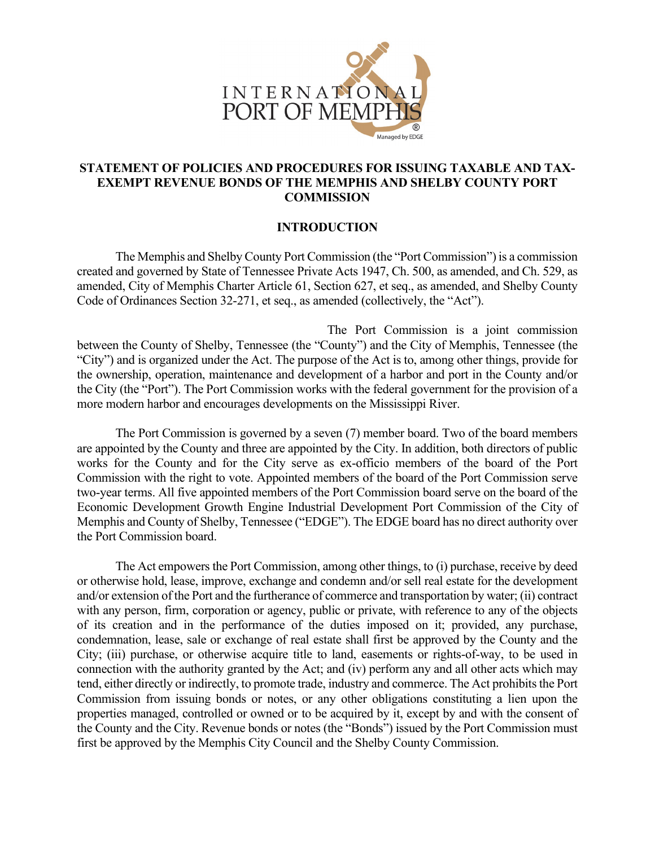

# **STATEMENT OF POLICIES AND PROCEDURES FOR ISSUING TAXABLE AND TAX-EXEMPT REVENUE BONDS OF THE MEMPHIS AND SHELBY COUNTY PORT COMMISSION**

### **INTRODUCTION**

The Memphis and Shelby County Port Commission (the "Port Commission") is a commission created and governed by State of Tennessee Private Acts 1947, Ch. 500, as amended, and Ch. 529, as amended, City of Memphis Charter Article 61, Section 627, et seq., as amended, and Shelby County Code of Ordinances Section 32-271, et seq., as amended (collectively, the "Act").

The Port Commission is a joint commission between the County of Shelby, Tennessee (the "County") and the City of Memphis, Tennessee (the "City") and is organized under the Act. The purpose of the Act is to, among other things, provide for the ownership, operation, maintenance and development of a harbor and port in the County and/or the City (the "Port"). The Port Commission works with the federal government for the provision of a more modern harbor and encourages developments on the Mississippi River.

The Port Commission is governed by a seven (7) member board. Two of the board members are appointed by the County and three are appointed by the City. In addition, both directors of public works for the County and for the City serve as ex-officio members of the board of the Port Commission with the right to vote. Appointed members of the board of the Port Commission serve two-year terms. All five appointed members of the Port Commission board serve on the board of the Economic Development Growth Engine Industrial Development Port Commission of the City of Memphis and County of Shelby, Tennessee ("EDGE"). The EDGE board has no direct authority over the Port Commission board.

The Act empowers the Port Commission, among other things, to (i) purchase, receive by deed or otherwise hold, lease, improve, exchange and condemn and/or sell real estate for the development and/or extension of the Port and the furtherance of commerce and transportation by water; (ii) contract with any person, firm, corporation or agency, public or private, with reference to any of the objects of its creation and in the performance of the duties imposed on it; provided, any purchase, condemnation, lease, sale or exchange of real estate shall first be approved by the County and the City; (iii) purchase, or otherwise acquire title to land, easements or rights-of-way, to be used in connection with the authority granted by the Act; and (iv) perform any and all other acts which may tend, either directly or indirectly, to promote trade, industry and commerce. The Act prohibits the Port Commission from issuing bonds or notes, or any other obligations constituting a lien upon the properties managed, controlled or owned or to be acquired by it, except by and with the consent of the County and the City. Revenue bonds or notes (the "Bonds") issued by the Port Commission must first be approved by the Memphis City Council and the Shelby County Commission.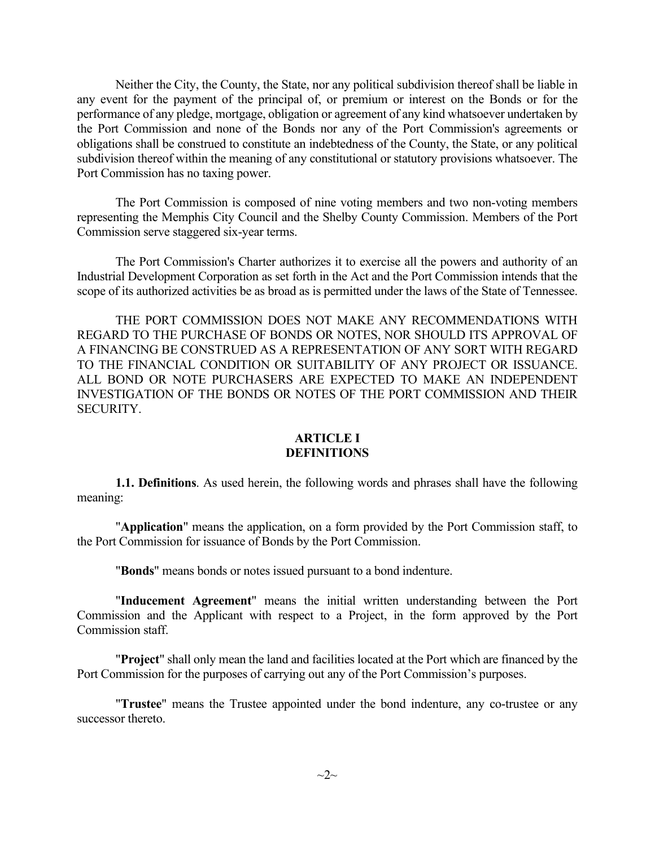Neither the City, the County, the State, nor any political subdivision thereof shall be liable in any event for the payment of the principal of, or premium or interest on the Bonds or for the performance of any pledge, mortgage, obligation or agreement of any kind whatsoever undertaken by the Port Commission and none of the Bonds nor any of the Port Commission's agreements or obligations shall be construed to constitute an indebtedness of the County, the State, or any political subdivision thereof within the meaning of any constitutional or statutory provisions whatsoever. The Port Commission has no taxing power.

The Port Commission is composed of nine voting members and two non-voting members representing the Memphis City Council and the Shelby County Commission. Members of the Port Commission serve staggered six-year terms.

The Port Commission's Charter authorizes it to exercise all the powers and authority of an Industrial Development Corporation as set forth in the Act and the Port Commission intends that the scope of its authorized activities be as broad as is permitted under the laws of the State of Tennessee.

THE PORT COMMISSION DOES NOT MAKE ANY RECOMMENDATIONS WITH REGARD TO THE PURCHASE OF BONDS OR NOTES, NOR SHOULD ITS APPROVAL OF A FINANCING BE CONSTRUED AS A REPRESENTATION OF ANY SORT WITH REGARD TO THE FINANCIAL CONDITION OR SUITABILITY OF ANY PROJECT OR ISSUANCE. ALL BOND OR NOTE PURCHASERS ARE EXPECTED TO MAKE AN INDEPENDENT INVESTIGATION OF THE BONDS OR NOTES OF THE PORT COMMISSION AND THEIR SECURITY.

#### **ARTICLE I DEFINITIONS**

**1.1. Definitions**. As used herein, the following words and phrases shall have the following meaning:

"**Application**" means the application, on a form provided by the Port Commission staff, to the Port Commission for issuance of Bonds by the Port Commission.

"**Bonds**" means bonds or notes issued pursuant to a bond indenture.

"**Inducement Agreement**" means the initial written understanding between the Port Commission and the Applicant with respect to a Project, in the form approved by the Port Commission staff.

"**Project**" shall only mean the land and facilities located at the Port which are financed by the Port Commission for the purposes of carrying out any of the Port Commission's purposes.

"**Trustee**" means the Trustee appointed under the bond indenture, any co-trustee or any successor thereto.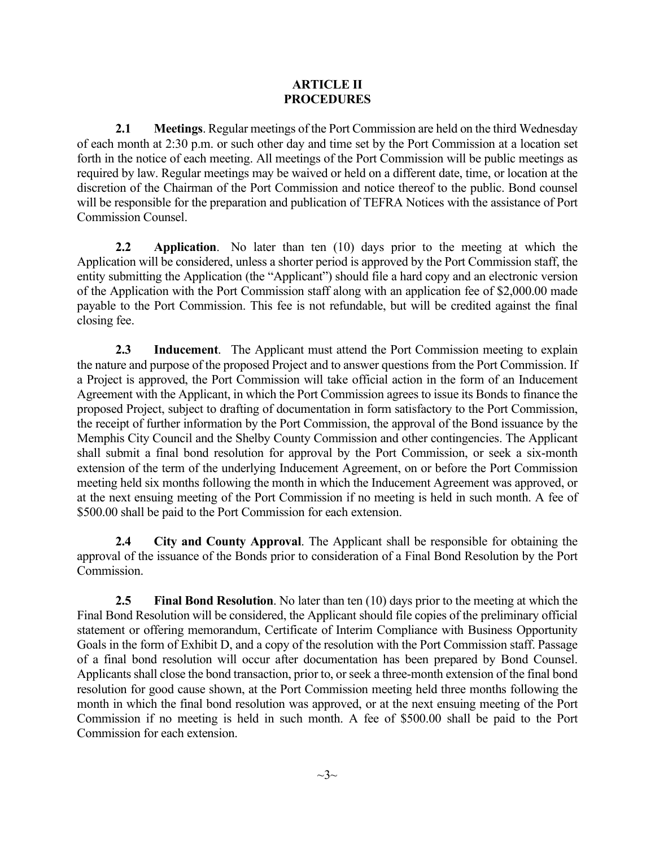### **ARTICLE II PROCEDURES**

**2.1 Meetings**. Regular meetings of the Port Commission are held on the third Wednesday of each month at 2:30 p.m. or such other day and time set by the Port Commission at a location set forth in the notice of each meeting. All meetings of the Port Commission will be public meetings as required by law. Regular meetings may be waived or held on a different date, time, or location at the discretion of the Chairman of the Port Commission and notice thereof to the public. Bond counsel will be responsible for the preparation and publication of TEFRA Notices with the assistance of Port Commission Counsel.

**2.2 Application**. No later than ten (10) days prior to the meeting at which the Application will be considered, unless a shorter period is approved by the Port Commission staff, the entity submitting the Application (the "Applicant") should file a hard copy and an electronic version of the Application with the Port Commission staff along with an application fee of \$2,000.00 made payable to the Port Commission. This fee is not refundable, but will be credited against the final closing fee.

**2.3 Inducement**. The Applicant must attend the Port Commission meeting to explain the nature and purpose of the proposed Project and to answer questions from the Port Commission. If a Project is approved, the Port Commission will take official action in the form of an Inducement Agreement with the Applicant, in which the Port Commission agrees to issue its Bonds to finance the proposed Project, subject to drafting of documentation in form satisfactory to the Port Commission, the receipt of further information by the Port Commission, the approval of the Bond issuance by the Memphis City Council and the Shelby County Commission and other contingencies. The Applicant shall submit a final bond resolution for approval by the Port Commission, or seek a six-month extension of the term of the underlying Inducement Agreement, on or before the Port Commission meeting held six months following the month in which the Inducement Agreement was approved, or at the next ensuing meeting of the Port Commission if no meeting is held in such month. A fee of \$500.00 shall be paid to the Port Commission for each extension.

**2.4 City and County Approval**. The Applicant shall be responsible for obtaining the approval of the issuance of the Bonds prior to consideration of a Final Bond Resolution by the Port Commission.

**2.5 Final Bond Resolution**. No later than ten (10) days prior to the meeting at which the Final Bond Resolution will be considered, the Applicant should file copies of the preliminary official statement or offering memorandum, Certificate of Interim Compliance with Business Opportunity Goals in the form of Exhibit D, and a copy of the resolution with the Port Commission staff. Passage of a final bond resolution will occur after documentation has been prepared by Bond Counsel. Applicants shall close the bond transaction, prior to, or seek a three-month extension of the final bond resolution for good cause shown, at the Port Commission meeting held three months following the month in which the final bond resolution was approved, or at the next ensuing meeting of the Port Commission if no meeting is held in such month. A fee of \$500.00 shall be paid to the Port Commission for each extension.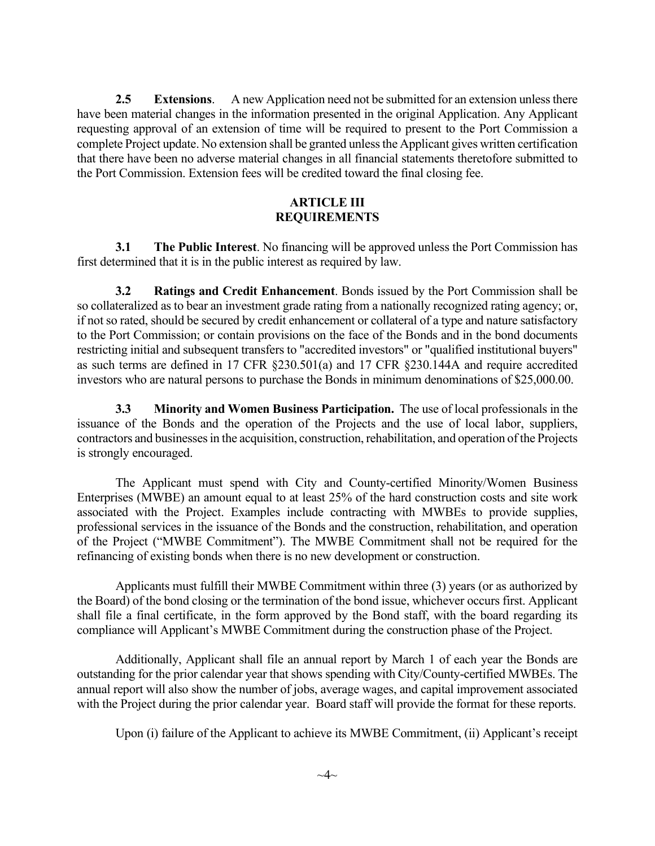**2.5 Extensions**. A new Application need not be submitted for an extension unless there have been material changes in the information presented in the original Application. Any Applicant requesting approval of an extension of time will be required to present to the Port Commission a complete Project update. No extension shall be granted unless the Applicant gives written certification that there have been no adverse material changes in all financial statements theretofore submitted to the Port Commission. Extension fees will be credited toward the final closing fee.

#### **ARTICLE III REQUIREMENTS**

**3.1 The Public Interest**. No financing will be approved unless the Port Commission has first determined that it is in the public interest as required by law.

**3.2 Ratings and Credit Enhancement**. Bonds issued by the Port Commission shall be so collateralized as to bear an investment grade rating from a nationally recognized rating agency; or, if not so rated, should be secured by credit enhancement or collateral of a type and nature satisfactory to the Port Commission; or contain provisions on the face of the Bonds and in the bond documents restricting initial and subsequent transfers to "accredited investors" or "qualified institutional buyers" as such terms are defined in 17 CFR §230.501(a) and 17 CFR §230.144A and require accredited investors who are natural persons to purchase the Bonds in minimum denominations of \$25,000.00.

**3.3 Minority and Women Business Participation.** The use of local professionals in the issuance of the Bonds and the operation of the Projects and the use of local labor, suppliers, contractors and businesses in the acquisition, construction, rehabilitation, and operation of the Projects is strongly encouraged.

The Applicant must spend with City and County-certified Minority/Women Business Enterprises (MWBE) an amount equal to at least 25% of the hard construction costs and site work associated with the Project. Examples include contracting with MWBEs to provide supplies, professional services in the issuance of the Bonds and the construction, rehabilitation, and operation of the Project ("MWBE Commitment"). The MWBE Commitment shall not be required for the refinancing of existing bonds when there is no new development or construction.

Applicants must fulfill their MWBE Commitment within three (3) years (or as authorized by the Board) of the bond closing or the termination of the bond issue, whichever occurs first. Applicant shall file a final certificate, in the form approved by the Bond staff, with the board regarding its compliance will Applicant's MWBE Commitment during the construction phase of the Project.

Additionally, Applicant shall file an annual report by March 1 of each year the Bonds are outstanding for the prior calendar year that shows spending with City/County-certified MWBEs. The annual report will also show the number of jobs, average wages, and capital improvement associated with the Project during the prior calendar year. Board staff will provide the format for these reports.

Upon (i) failure of the Applicant to achieve its MWBE Commitment, (ii) Applicant's receipt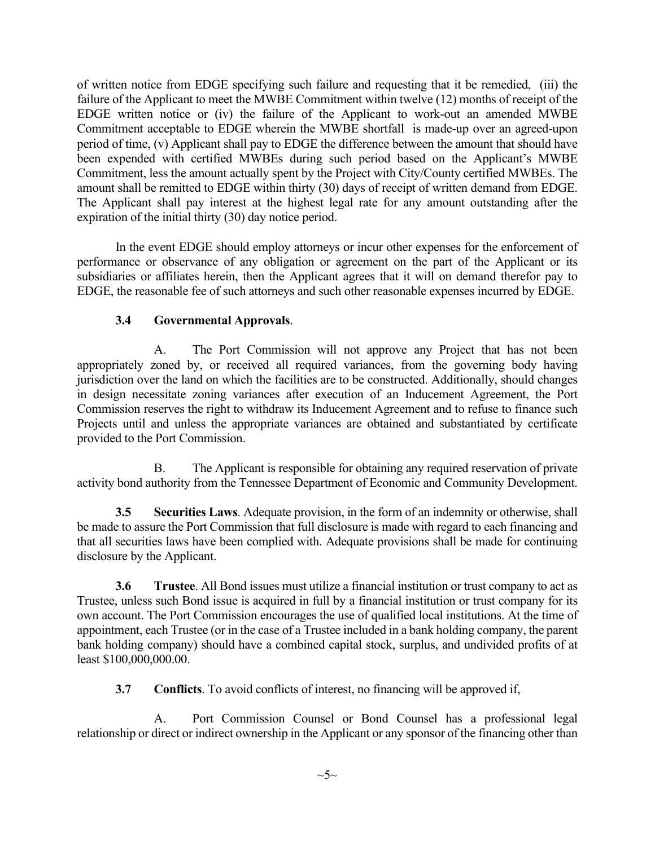of written notice from EDGE specifying such failure and requesting that it be remedied, (iii) the failure of the Applicant to meet the MWBE Commitment within twelve (12) months of receipt of the EDGE written notice or (iv) the failure of the Applicant to work-out an amended MWBE Commitment acceptable to EDGE wherein the MWBE shortfall is made-up over an agreed-upon period of time, (v) Applicant shall pay to EDGE the difference between the amount that should have been expended with certified MWBEs during such period based on the Applicant's MWBE Commitment, less the amount actually spent by the Project with City/County certified MWBEs. The amount shall be remitted to EDGE within thirty (30) days of receipt of written demand from EDGE. The Applicant shall pay interest at the highest legal rate for any amount outstanding after the expiration of the initial thirty (30) day notice period.

In the event EDGE should employ attorneys or incur other expenses for the enforcement of performance or observance of any obligation or agreement on the part of the Applicant or its subsidiaries or affiliates herein, then the Applicant agrees that it will on demand therefor pay to EDGE, the reasonable fee of such attorneys and such other reasonable expenses incurred by EDGE.

# **3.4 Governmental Approvals**.

A. The Port Commission will not approve any Project that has not been appropriately zoned by, or received all required variances, from the governing body having jurisdiction over the land on which the facilities are to be constructed. Additionally, should changes in design necessitate zoning variances after execution of an Inducement Agreement, the Port Commission reserves the right to withdraw its Inducement Agreement and to refuse to finance such Projects until and unless the appropriate variances are obtained and substantiated by certificate provided to the Port Commission.

B. The Applicant is responsible for obtaining any required reservation of private activity bond authority from the Tennessee Department of Economic and Community Development.

**3.5 Securities Laws**. Adequate provision, in the form of an indemnity or otherwise, shall be made to assure the Port Commission that full disclosure is made with regard to each financing and that all securities laws have been complied with. Adequate provisions shall be made for continuing disclosure by the Applicant.

**3.6 Trustee**. All Bond issues must utilize a financial institution or trust company to act as Trustee, unless such Bond issue is acquired in full by a financial institution or trust company for its own account. The Port Commission encourages the use of qualified local institutions. At the time of appointment, each Trustee (or in the case of a Trustee included in a bank holding company, the parent bank holding company) should have a combined capital stock, surplus, and undivided profits of at least \$100,000,000.00.

**3.7 Conflicts**. To avoid conflicts of interest, no financing will be approved if,

A. Port Commission Counsel or Bond Counsel has a professional legal relationship or direct or indirect ownership in the Applicant or any sponsor of the financing other than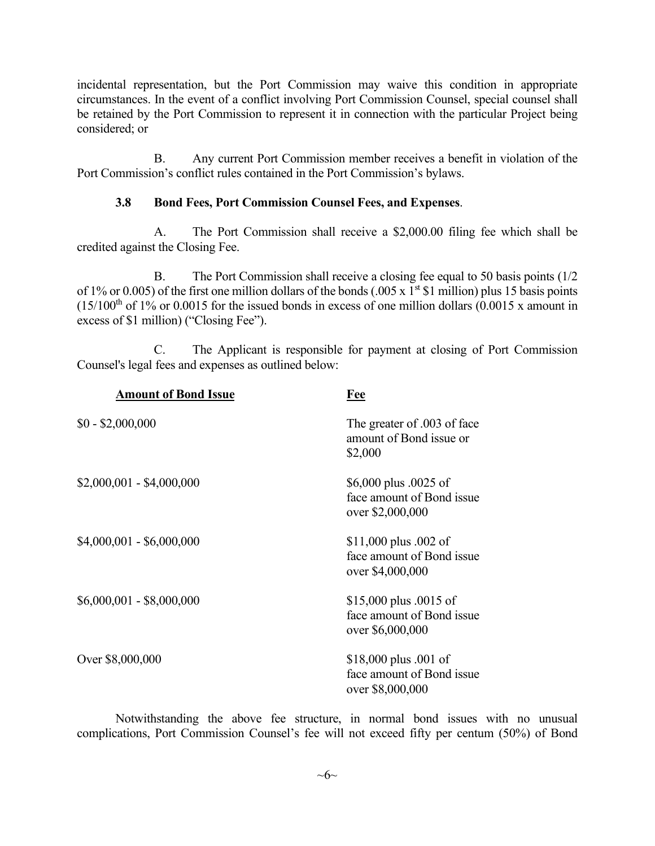incidental representation, but the Port Commission may waive this condition in appropriate circumstances. In the event of a conflict involving Port Commission Counsel, special counsel shall be retained by the Port Commission to represent it in connection with the particular Project being considered; or

B. Any current Port Commission member receives a benefit in violation of the Port Commission's conflict rules contained in the Port Commission's bylaws.

### **3.8 Bond Fees, Port Commission Counsel Fees, and Expenses**.

A. The Port Commission shall receive a \$2,000.00 filing fee which shall be credited against the Closing Fee.

B. The Port Commission shall receive a closing fee equal to 50 basis points (1/2 of 1% or 0.005) of the first one million dollars of the bonds (.005 x  $1<sup>st</sup>$  \$1 million) plus 15 basis points  $(15/100<sup>th</sup>$  of 1% or 0.0015 for the issued bonds in excess of one million dollars  $(0.0015 \text{ x}$  amount in excess of \$1 million) ("Closing Fee").

C. The Applicant is responsible for payment at closing of Port Commission Counsel's legal fees and expenses as outlined below:

| <b>Amount of Bond Issue</b> | Fee                                                                       |
|-----------------------------|---------------------------------------------------------------------------|
| $$0 - $2,000,000$           | The greater of 003 of face<br>amount of Bond issue or<br>\$2,000          |
| $$2,000,001 - $4,000,000$   | \$6,000 plus .0025 of<br>face amount of Bond issue<br>over \$2,000,000    |
| $$4,000,001 - $6,000,000$   | \$11,000 plus $.002$ of<br>face amount of Bond issue<br>over \$4,000,000  |
| \$6,000,001 - \$8,000,000   | \$15,000 plus $.0015$ of<br>face amount of Bond issue<br>over \$6,000,000 |
| Over \$8,000,000            | \$18,000 plus $.001$ of<br>face amount of Bond issue<br>over \$8,000,000  |

Notwithstanding the above fee structure, in normal bond issues with no unusual complications, Port Commission Counsel's fee will not exceed fifty per centum (50%) of Bond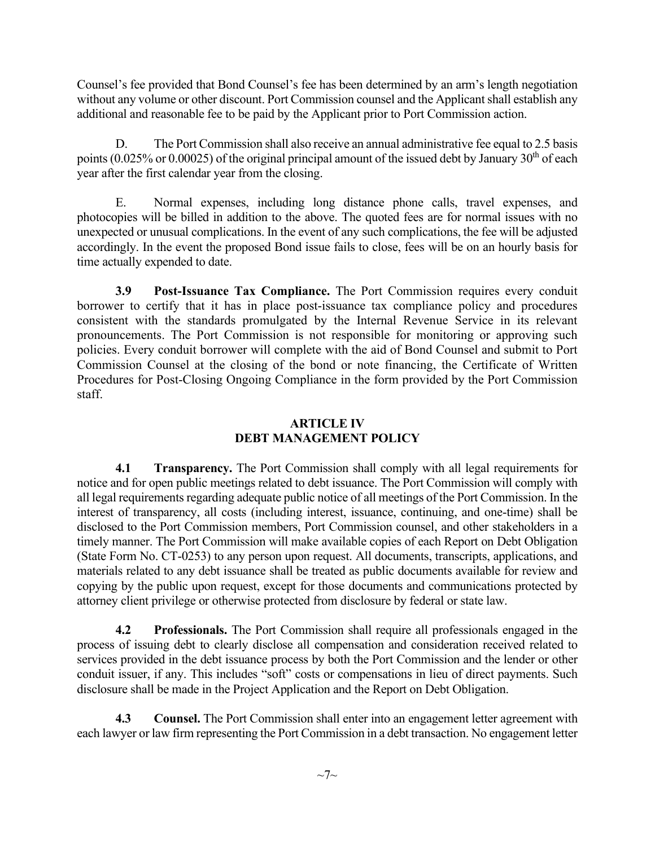Counsel's fee provided that Bond Counsel's fee has been determined by an arm's length negotiation without any volume or other discount. Port Commission counsel and the Applicant shall establish any additional and reasonable fee to be paid by the Applicant prior to Port Commission action.

D. The Port Commission shall also receive an annual administrative fee equal to 2.5 basis points (0.025% or 0.00025) of the original principal amount of the issued debt by January  $30<sup>th</sup>$  of each year after the first calendar year from the closing.

E. Normal expenses, including long distance phone calls, travel expenses, and photocopies will be billed in addition to the above. The quoted fees are for normal issues with no unexpected or unusual complications. In the event of any such complications, the fee will be adjusted accordingly. In the event the proposed Bond issue fails to close, fees will be on an hourly basis for time actually expended to date.

**3.9 Post-Issuance Tax Compliance.** The Port Commission requires every conduit borrower to certify that it has in place post-issuance tax compliance policy and procedures consistent with the standards promulgated by the Internal Revenue Service in its relevant pronouncements. The Port Commission is not responsible for monitoring or approving such policies. Every conduit borrower will complete with the aid of Bond Counsel and submit to Port Commission Counsel at the closing of the bond or note financing, the Certificate of Written Procedures for Post-Closing Ongoing Compliance in the form provided by the Port Commission staff.

# **ARTICLE IV DEBT MANAGEMENT POLICY**

**4.1 Transparency.** The Port Commission shall comply with all legal requirements for notice and for open public meetings related to debt issuance. The Port Commission will comply with all legal requirements regarding adequate public notice of all meetings of the Port Commission. In the interest of transparency, all costs (including interest, issuance, continuing, and one-time) shall be disclosed to the Port Commission members, Port Commission counsel, and other stakeholders in a timely manner. The Port Commission will make available copies of each Report on Debt Obligation (State Form No. CT-0253) to any person upon request. All documents, transcripts, applications, and materials related to any debt issuance shall be treated as public documents available for review and copying by the public upon request, except for those documents and communications protected by attorney client privilege or otherwise protected from disclosure by federal or state law.

**4.2 Professionals.** The Port Commission shall require all professionals engaged in the process of issuing debt to clearly disclose all compensation and consideration received related to services provided in the debt issuance process by both the Port Commission and the lender or other conduit issuer, if any. This includes "soft" costs or compensations in lieu of direct payments. Such disclosure shall be made in the Project Application and the Report on Debt Obligation.

**4.3 Counsel.** The Port Commission shall enter into an engagement letter agreement with each lawyer or law firm representing the Port Commission in a debt transaction. No engagement letter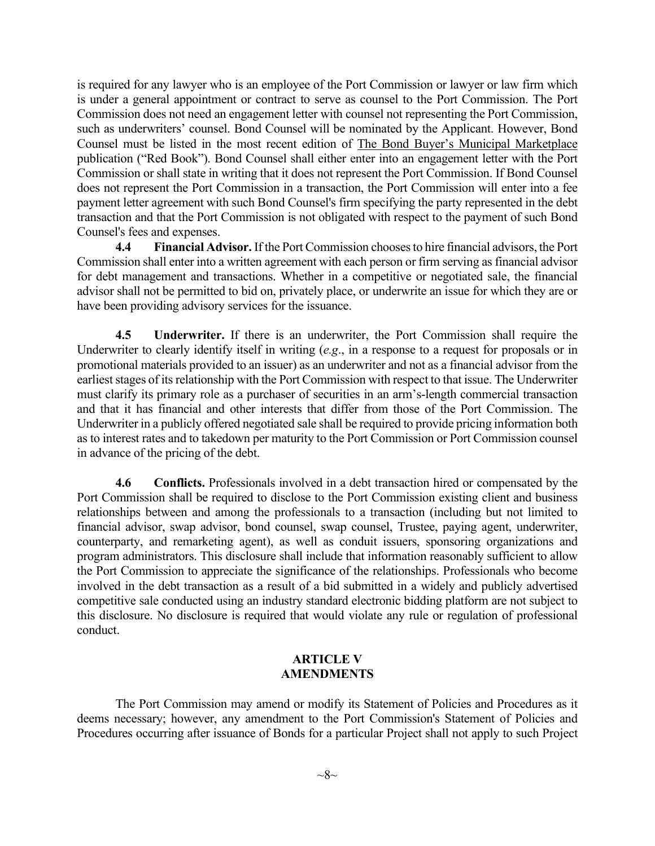is required for any lawyer who is an employee of the Port Commission or lawyer or law firm which is under a general appointment or contract to serve as counsel to the Port Commission. The Port Commission does not need an engagement letter with counsel not representing the Port Commission, such as underwriters' counsel. Bond Counsel will be nominated by the Applicant. However, Bond Counsel must be listed in the most recent edition of The Bond Buyer's Municipal Marketplace publication ("Red Book"). Bond Counsel shall either enter into an engagement letter with the Port Commission or shall state in writing that it does not represent the Port Commission. If Bond Counsel does not represent the Port Commission in a transaction, the Port Commission will enter into a fee payment letter agreement with such Bond Counsel's firm specifying the party represented in the debt transaction and that the Port Commission is not obligated with respect to the payment of such Bond Counsel's fees and expenses.

**4.4 Financial Advisor.** If the Port Commission chooses to hire financial advisors, the Port Commission shall enter into a written agreement with each person or firm serving as financial advisor for debt management and transactions. Whether in a competitive or negotiated sale, the financial advisor shall not be permitted to bid on, privately place, or underwrite an issue for which they are or have been providing advisory services for the issuance.

**4.5 Underwriter.** If there is an underwriter, the Port Commission shall require the Underwriter to clearly identify itself in writing (*e.g*., in a response to a request for proposals or in promotional materials provided to an issuer) as an underwriter and not as a financial advisor from the earliest stages of its relationship with the Port Commission with respect to that issue. The Underwriter must clarify its primary role as a purchaser of securities in an arm's-length commercial transaction and that it has financial and other interests that differ from those of the Port Commission. The Underwriter in a publicly offered negotiated sale shall be required to provide pricing information both as to interest rates and to takedown per maturity to the Port Commission or Port Commission counsel in advance of the pricing of the debt.

**4.6 Conflicts.** Professionals involved in a debt transaction hired or compensated by the Port Commission shall be required to disclose to the Port Commission existing client and business relationships between and among the professionals to a transaction (including but not limited to financial advisor, swap advisor, bond counsel, swap counsel, Trustee, paying agent, underwriter, counterparty, and remarketing agent), as well as conduit issuers, sponsoring organizations and program administrators. This disclosure shall include that information reasonably sufficient to allow the Port Commission to appreciate the significance of the relationships. Professionals who become involved in the debt transaction as a result of a bid submitted in a widely and publicly advertised competitive sale conducted using an industry standard electronic bidding platform are not subject to this disclosure. No disclosure is required that would violate any rule or regulation of professional conduct.

## **ARTICLE V AMENDMENTS**

The Port Commission may amend or modify its Statement of Policies and Procedures as it deems necessary; however, any amendment to the Port Commission's Statement of Policies and Procedures occurring after issuance of Bonds for a particular Project shall not apply to such Project